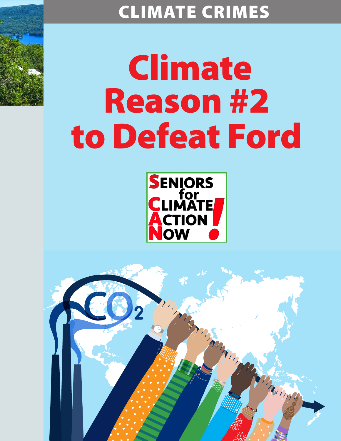# CLIMATE CRIMES

# Climate Reason #2 to Defeat Ford



Marian

Thompson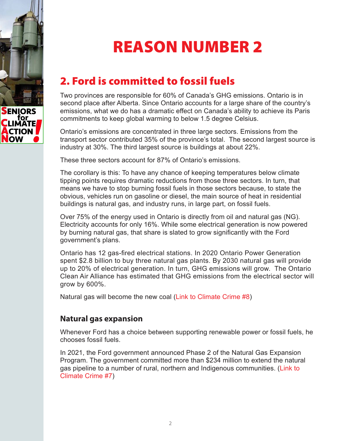

## REASON NUMBER 2

## 2. Ford is committed to fossil fuels

Two provinces are responsible for 60% of Canada's GHG emissions. Ontario is in second place after Alberta. Since Ontario accounts for a large share of the country's emissions, what we do has a dramatic effect on Canada's ability to achieve its Paris commitments to keep global warming to below 1.5 degree Celsius.

Ontario's emissions are concentrated in three large sectors. Emissions from the transport sector contributed 35% of the province's total. The second largest source is industry at 30%. The third largest source is buildings at about 22%.

These three sectors account for 87% of Ontario's emissions.

The corollary is this: To have any chance of keeping temperatures below climate tipping points requires dramatic reductions from those three sectors. In turn, that means we have to stop burning fossil fuels in those sectors because, to state the obvious, vehicles run on gasoline or diesel, the main source of heat in residential buildings is natural gas, and industry runs, in large part, on fossil fuels.

Over 75% of the energy used in Ontario is directly from oil and natural gas (NG). Electricity accounts for only 16%. While some electrical generation is now powered by burning natural gas, that share is slated to grow significantly with the Ford government's plans.

Ontario has 12 gas-fired electrical stations. In 2020 Ontario Power Generation spent \$2.8 billion to buy three natural gas plants. By 2030 natural gas will provide up to 20% of electrical generation. In turn, GHG emissions will grow. The Ontario Clean Air Alliance has estimated that GHG emissions from the electrical sector will grow by 600%.

Natural gas will become the new coal [\(Link to Climate Crime #8\)](https://seniorsforclimateactionnow.org/wp-content/uploads/2022/04/CC-8-2022-03-17.pdf)

#### **Natural gas expansion**

Whenever Ford has a choice between supporting renewable power or fossil fuels, he chooses fossil fuels.

In 2021, the Ford government announced Phase 2 of the Natural Gas Expansion Program. The government committed more than \$234 million to extend the natural gas pipeline to a number of rural, northern and Indigenous communities. [\(Link to](https://seniorsforclimateactionnow.org/wp-content/uploads/2022/04/CC-7-2022-03-22.pdf)  [Climate Crime #7\)](https://seniorsforclimateactionnow.org/wp-content/uploads/2022/04/CC-7-2022-03-22.pdf)